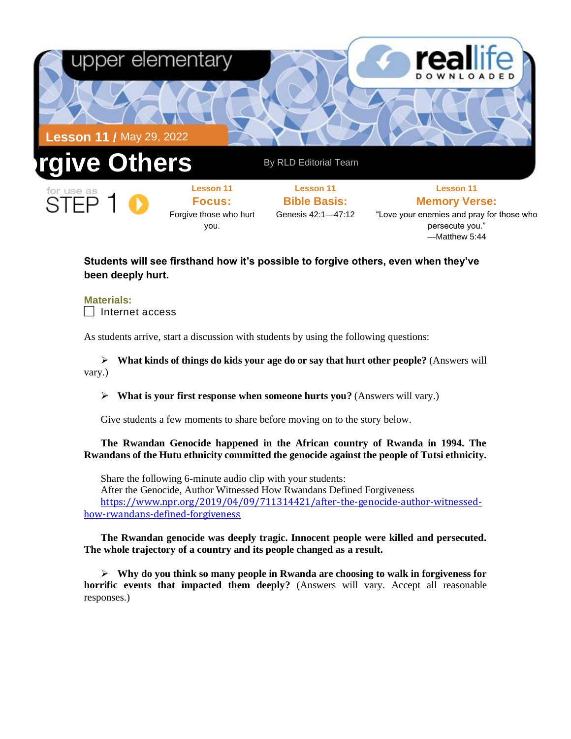

—Matthew 5:44

## **Students will see firsthand how it's possible to forgive others, even when they've been deeply hurt.**

**Materials:**  $\Box$  Internet access

As students arrive, start a discussion with students by using the following questions:

➢ **What kinds of things do kids your age do or say that hurt other people?** (Answers will vary.)

➢ **What is your first response when someone hurts you?** (Answers will vary.)

Give students a few moments to share before moving on to the story below.

**The Rwandan Genocide happened in the African country of Rwanda in 1994. The Rwandans of the Hutu ethnicity committed the genocide against the people of Tutsi ethnicity.**

Share the following 6-minute audio clip with your students: After the Genocide, Author Witnessed How Rwandans Defined Forgiveness https://www.npr.org/2019/04/09/711314421/after-the-genocide-author-witnessedhow-rwandans-defined-forgiveness

**The Rwandan genocide was deeply tragic. Innocent people were killed and persecuted. The whole trajectory of a country and its people changed as a result.**

➢ **Why do you think so many people in Rwanda are choosing to walk in forgiveness for horrific events that impacted them deeply?** (Answers will vary. Accept all reasonable responses.)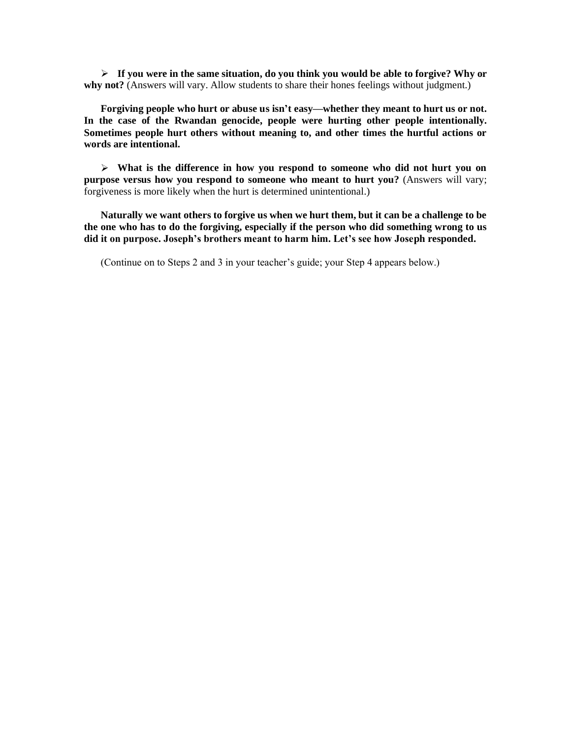➢ **If you were in the same situation, do you think you would be able to forgive? Why or**  why not? (Answers will vary. Allow students to share their hones feelings without judgment.)

**Forgiving people who hurt or abuse us isn't easy—whether they meant to hurt us or not. In the case of the Rwandan genocide, people were hurting other people intentionally. Sometimes people hurt others without meaning to, and other times the hurtful actions or words are intentional.**

➢ **What is the difference in how you respond to someone who did not hurt you on purpose versus how you respond to someone who meant to hurt you?** (Answers will vary; forgiveness is more likely when the hurt is determined unintentional.)

**Naturally we want others to forgive us when we hurt them, but it can be a challenge to be the one who has to do the forgiving, especially if the person who did something wrong to us did it on purpose. Joseph's brothers meant to harm him. Let's see how Joseph responded.**

(Continue on to Steps 2 and 3 in your teacher's guide; your Step 4 appears below.)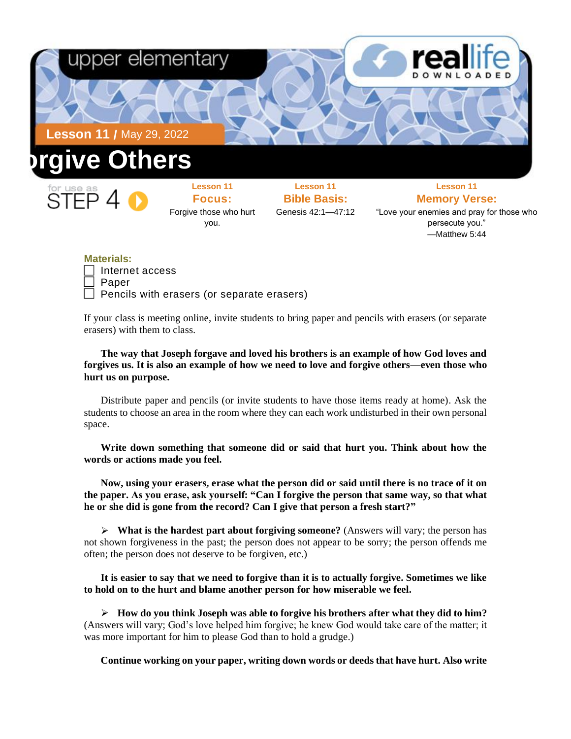

—Matthew 5:44

## **Materials:**

| $\Box$ Internet access                            |  |
|---------------------------------------------------|--|
| $\Box$ Paper                                      |  |
| $\Box$ Pencils with erasers (or separate erasers) |  |

If your class is meeting online, invite students to bring paper and pencils with erasers (or separate erasers) with them to class.

**The way that Joseph forgave and loved his brothers is an example of how God loves and forgives us. It is also an example of how we need to love and forgive others—even those who hurt us on purpose.** 

Distribute paper and pencils (or invite students to have those items ready at home). Ask the students to choose an area in the room where they can each work undisturbed in their own personal space.

**Write down something that someone did or said that hurt you. Think about how the words or actions made you feel.** 

**Now, using your erasers, erase what the person did or said until there is no trace of it on the paper. As you erase, ask yourself: "Can I forgive the person that same way, so that what he or she did is gone from the record? Can I give that person a fresh start?"**

➢ **What is the hardest part about forgiving someone?** (Answers will vary; the person has not shown forgiveness in the past; the person does not appear to be sorry; the person offends me often; the person does not deserve to be forgiven, etc.)

**It is easier to say that we need to forgive than it is to actually forgive. Sometimes we like to hold on to the hurt and blame another person for how miserable we feel.** 

➢ **How do you think Joseph was able to forgive his brothers after what they did to him?** (Answers will vary; God's love helped him forgive; he knew God would take care of the matter; it was more important for him to please God than to hold a grudge.)

**Continue working on your paper, writing down words or deeds that have hurt. Also write**